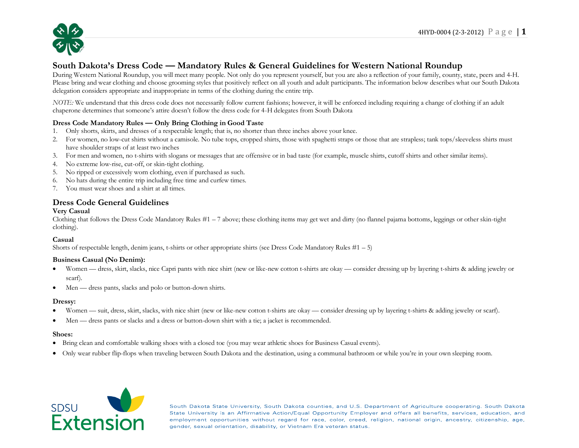

# **South Dakota's Dress Code — Mandatory Rules & General Guidelines for Western National Roundup**

During Western National Roundup, you will meet many people. Not only do you represent yourself, but you are also a reflection of your family, county, state, peers and 4-H. Please bring and wear clothing and choose grooming styles that positively reflect on all youth and adult participants. The information below describes what our South Dakota delegation considers appropriate and inappropriate in terms of the clothing during the entire trip.

*NOTE:* We understand that this dress code does not necessarily follow current fashions; however, it will be enforced including requiring a change of clothing if an adult chaperone determines that someone's attire doesn't follow the dress code for 4-H delegates from South Dakota

## **Dress Code Mandatory Rules — Only Bring Clothing in Good Taste**

- 1. Only shorts, skirts, and dresses of a respectable length; that is, no shorter than three inches above your knee.
- 2. For women, no low-cut shirts without a camisole. No tube tops, cropped shirts, those with spaghetti straps or those that are strapless; tank tops/sleeveless shirts must have shoulder straps of at least two inches
- 3. For men and women, no t-shirts with slogans or messages that are offensive or in bad taste (for example, muscle shirts, cutoff shirts and other similar items).
- 4. No extreme low-rise, cut-off, or skin-tight clothing.
- 5. No ripped or excessively worn clothing, even if purchased as such.
- 6. No hats during the entire trip including free time and curfew times.
- 7. You must wear shoes and a shirt at all times.

## **Dress Code General Guidelines**

## **Very Casual**

Clothing that follows the Dress Code Mandatory Rules  $#1 - 7$  above; these clothing items may get wet and dirty (no flannel pajama bottoms, leggings or other skin-tight clothing).

## **Casual**

Shorts of respectable length, denim jeans, t-shirts or other appropriate shirts (see Dress Code Mandatory Rules #1 – 5)

#### **Business Casual (No Denim):**

- Women dress, skirt, slacks, nice Capri pants with nice shirt (new or like-new cotton t-shirts are okay consider dressing up by layering t-shirts & adding jewelry or scarf).
- Men dress pants, slacks and polo or button-down shirts.

#### **Dressy:**

- Women suit, dress, skirt, slacks, with nice shirt (new or like-new cotton t-shirts are okay consider dressing up by layering t-shirts & adding jewelry or scarf).
- Men dress pants or slacks and a dress or button-down shirt with a tie; a jacket is recommended.

#### **Shoes:**

- Bring clean and comfortable walking shoes with a closed toe (you may wear athletic shoes for Business Casual events).
- Only wear rubber flip-flops when traveling between South Dakota and the destination, using a communal bathroom or while you're in your own sleeping room.



South Dakota State University, South Dakota counties, and U.S. Department of Agriculture cooperating. South Dakota State University is an Affirmative Action/Equal Opportunity Employer and offers all benefits, services, education, and employment opportunities without regard for race, color, creed, religion, national origin, ancestry, citizenship, age, gender, sexual orientation, disability, or Vietnam Era veteran status.